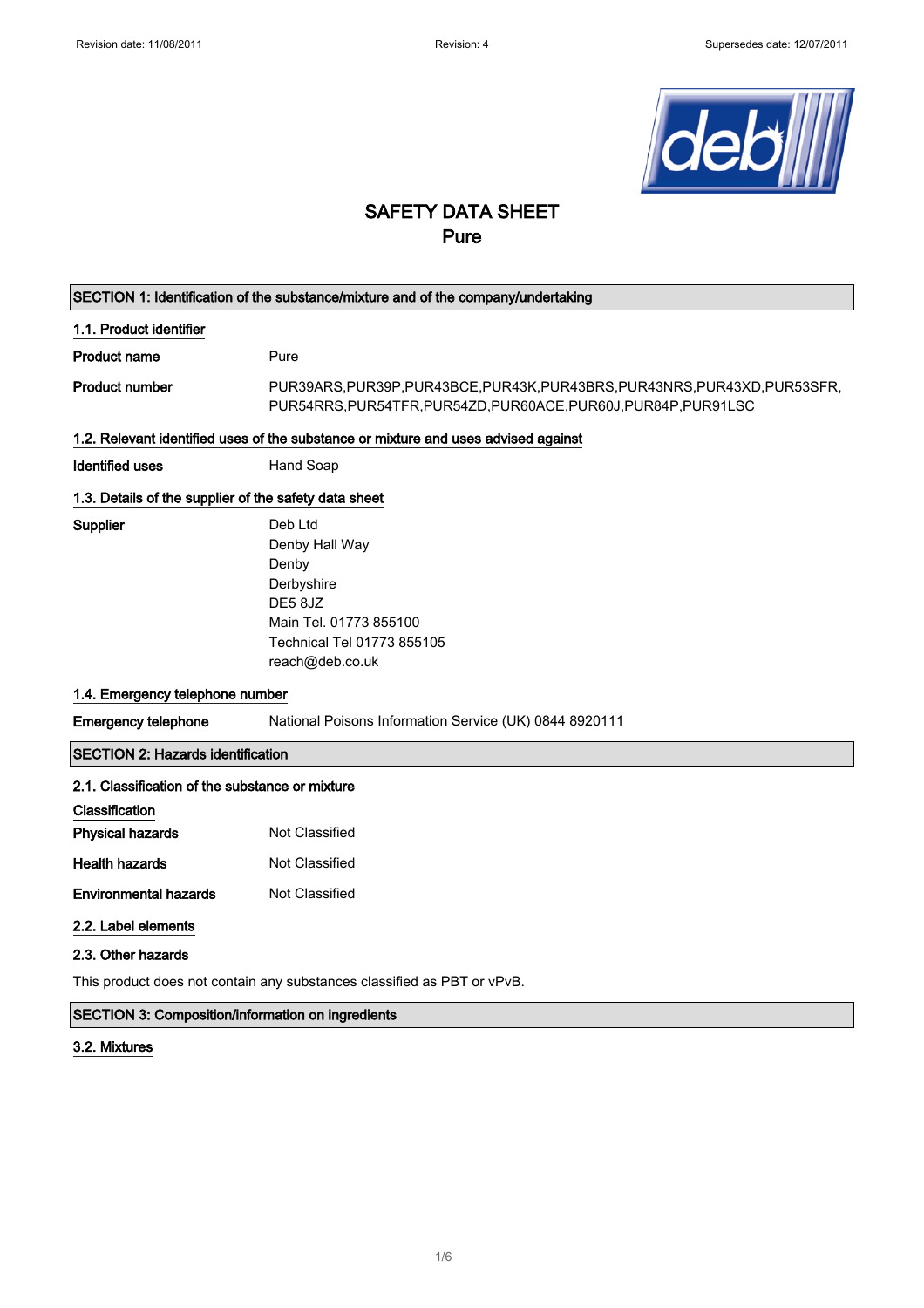

# SAFETY DATA SHEET Pure

| SECTION 1: Identification of the substance/mixture and of the company/undertaking  |                                                                                                                                               |  |  |  |
|------------------------------------------------------------------------------------|-----------------------------------------------------------------------------------------------------------------------------------------------|--|--|--|
| 1.1. Product identifier                                                            |                                                                                                                                               |  |  |  |
| <b>Product name</b>                                                                | Pure                                                                                                                                          |  |  |  |
| <b>Product number</b>                                                              | PUR39ARS, PUR39P, PUR43BCE, PUR43K, PUR43BRS, PUR43NRS, PUR43XD, PUR53SFR,<br>PUR54RRS, PUR54TFR, PUR54ZD, PUR60ACE, PUR60J, PUR84P, PUR91LSC |  |  |  |
| 1.2. Relevant identified uses of the substance or mixture and uses advised against |                                                                                                                                               |  |  |  |
| <b>Identified uses</b>                                                             | Hand Soap                                                                                                                                     |  |  |  |
| 1.3. Details of the supplier of the safety data sheet                              |                                                                                                                                               |  |  |  |
| Supplier                                                                           | Deb Ltd<br>Denby Hall Way<br>Denby<br>Derbyshire<br>DE58JZ<br>Main Tel. 01773 855100<br>Technical Tel 01773 855105<br>reach@deb.co.uk         |  |  |  |
| 1.4. Emergency telephone number                                                    |                                                                                                                                               |  |  |  |
| <b>Emergency telephone</b>                                                         | National Poisons Information Service (UK) 0844 8920111                                                                                        |  |  |  |
| <b>SECTION 2: Hazards identification</b>                                           |                                                                                                                                               |  |  |  |
| 2.1. Classification of the substance or mixture                                    |                                                                                                                                               |  |  |  |
| Classification                                                                     |                                                                                                                                               |  |  |  |
| <b>Physical hazards</b>                                                            | Not Classified                                                                                                                                |  |  |  |
| <b>Health hazards</b>                                                              | Not Classified                                                                                                                                |  |  |  |
| <b>Environmental hazards</b>                                                       | Not Classified                                                                                                                                |  |  |  |
| 2.2. Label elements                                                                |                                                                                                                                               |  |  |  |
| 2.3. Other hazards                                                                 |                                                                                                                                               |  |  |  |
| This product does not contain any substances classified as PBT or vPvB.            |                                                                                                                                               |  |  |  |

# SECTION 3: Composition/information on ingredients

### 3.2. Mixtures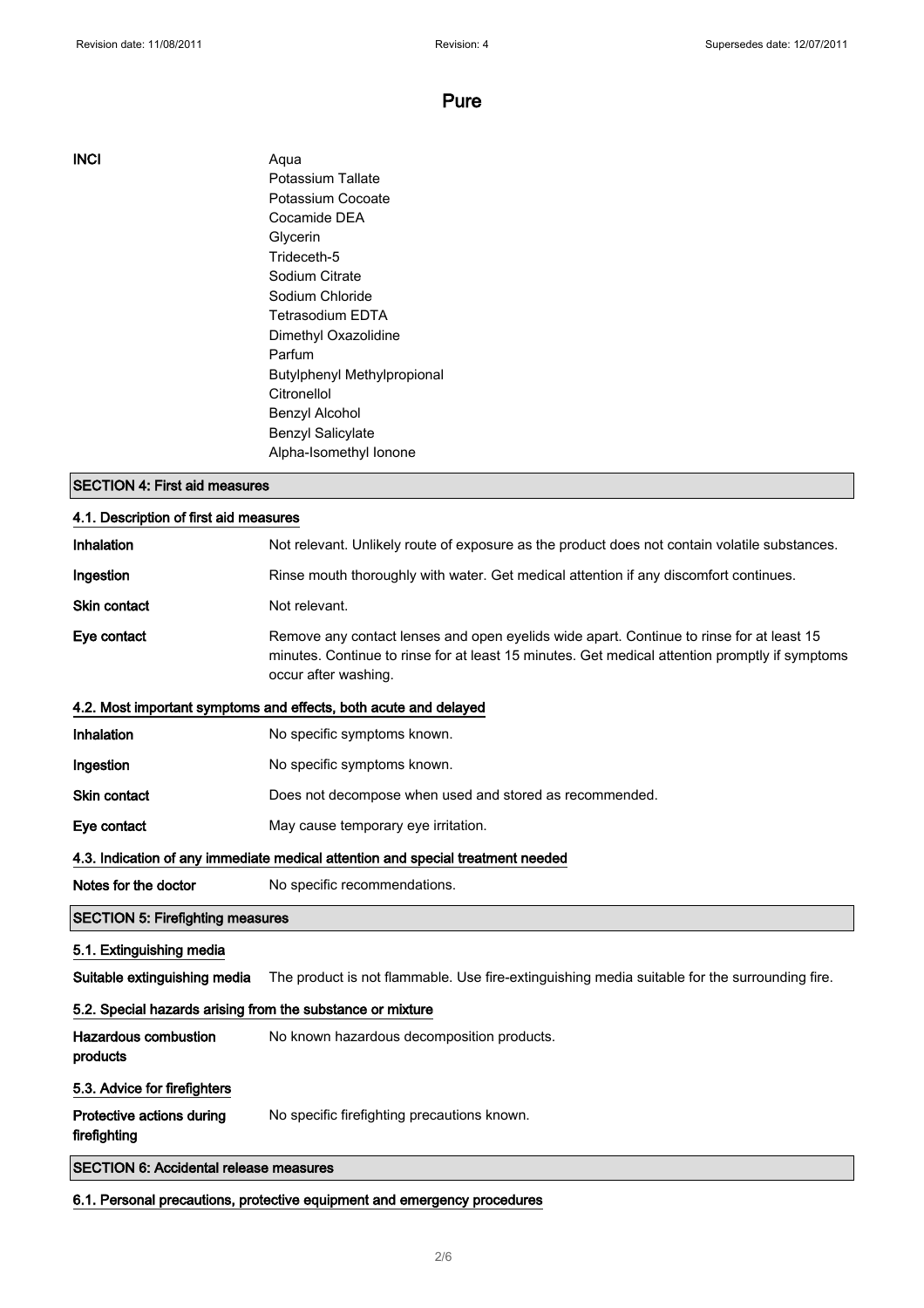INCI Aqua Potassium Tallate Potassium Cocoate Cocamide DEA Glycerin Trideceth-5 Sodium Citrate Sodium Chloride Tetrasodium EDTA Dimethyl Oxazolidine Parfum Butylphenyl Methylpropional Citronellol Benzyl Alcohol Benzyl Salicylate Alpha-Isomethyl Ionone

### SECTION 4: First aid measures

| 4.1. Description of first aid measures                     |                                                                                                                                                                                                                    |  |  |
|------------------------------------------------------------|--------------------------------------------------------------------------------------------------------------------------------------------------------------------------------------------------------------------|--|--|
| Inhalation                                                 | Not relevant. Unlikely route of exposure as the product does not contain volatile substances.                                                                                                                      |  |  |
| Ingestion                                                  | Rinse mouth thoroughly with water. Get medical attention if any discomfort continues.                                                                                                                              |  |  |
| Skin contact                                               | Not relevant.                                                                                                                                                                                                      |  |  |
| Eye contact                                                | Remove any contact lenses and open eyelids wide apart. Continue to rinse for at least 15<br>minutes. Continue to rinse for at least 15 minutes. Get medical attention promptly if symptoms<br>occur after washing. |  |  |
|                                                            | 4.2. Most important symptoms and effects, both acute and delayed                                                                                                                                                   |  |  |
| Inhalation                                                 | No specific symptoms known.                                                                                                                                                                                        |  |  |
| Ingestion                                                  | No specific symptoms known.                                                                                                                                                                                        |  |  |
| Skin contact                                               | Does not decompose when used and stored as recommended.                                                                                                                                                            |  |  |
| Eye contact                                                | May cause temporary eye irritation.                                                                                                                                                                                |  |  |
|                                                            | 4.3. Indication of any immediate medical attention and special treatment needed                                                                                                                                    |  |  |
| Notes for the doctor                                       | No specific recommendations.                                                                                                                                                                                       |  |  |
| <b>SECTION 5: Firefighting measures</b>                    |                                                                                                                                                                                                                    |  |  |
| 5.1. Extinguishing media                                   |                                                                                                                                                                                                                    |  |  |
| Suitable extinguishing media                               | The product is not flammable. Use fire-extinguishing media suitable for the surrounding fire.                                                                                                                      |  |  |
| 5.2. Special hazards arising from the substance or mixture |                                                                                                                                                                                                                    |  |  |
| <b>Hazardous combustion</b><br>products                    | No known hazardous decomposition products.                                                                                                                                                                         |  |  |
| 5.3. Advice for firefighters                               |                                                                                                                                                                                                                    |  |  |
| Protective actions during<br>firefighting                  | No specific firefighting precautions known.                                                                                                                                                                        |  |  |
| <b>SECTION 6: Accidental release measures</b>              |                                                                                                                                                                                                                    |  |  |

6.1. Personal precautions, protective equipment and emergency procedures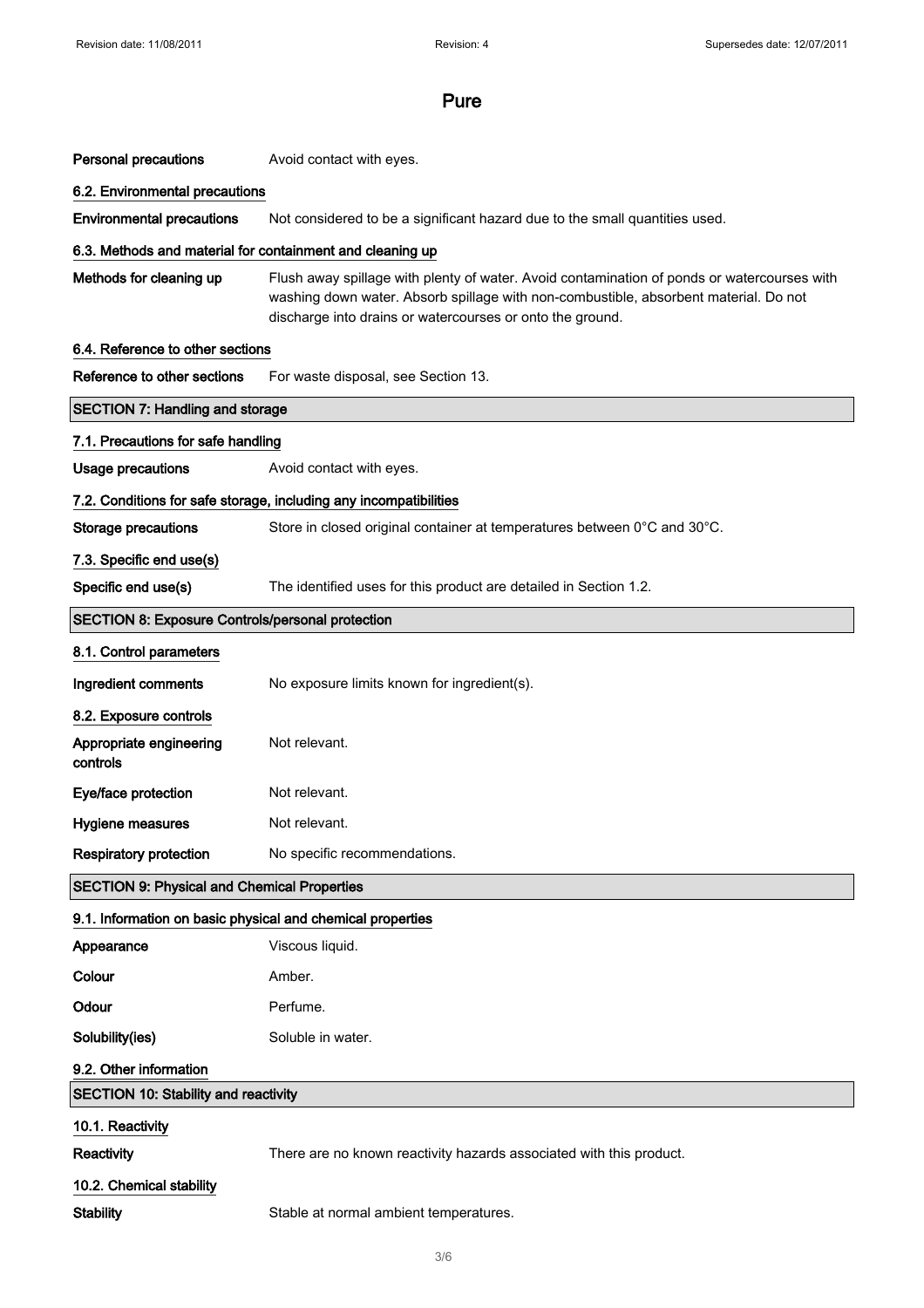| <b>Personal precautions</b>                                       | Avoid contact with eyes.                                                                                                                                                                                                                         |  |  |
|-------------------------------------------------------------------|--------------------------------------------------------------------------------------------------------------------------------------------------------------------------------------------------------------------------------------------------|--|--|
| 6.2. Environmental precautions                                    |                                                                                                                                                                                                                                                  |  |  |
| <b>Environmental precautions</b>                                  | Not considered to be a significant hazard due to the small quantities used.                                                                                                                                                                      |  |  |
| 6.3. Methods and material for containment and cleaning up         |                                                                                                                                                                                                                                                  |  |  |
| Methods for cleaning up                                           | Flush away spillage with plenty of water. Avoid contamination of ponds or watercourses with<br>washing down water. Absorb spillage with non-combustible, absorbent material. Do not<br>discharge into drains or watercourses or onto the ground. |  |  |
| 6.4. Reference to other sections                                  |                                                                                                                                                                                                                                                  |  |  |
| Reference to other sections                                       | For waste disposal, see Section 13.                                                                                                                                                                                                              |  |  |
| <b>SECTION 7: Handling and storage</b>                            |                                                                                                                                                                                                                                                  |  |  |
| 7.1. Precautions for safe handling                                |                                                                                                                                                                                                                                                  |  |  |
| <b>Usage precautions</b>                                          | Avoid contact with eyes.                                                                                                                                                                                                                         |  |  |
| 7.2. Conditions for safe storage, including any incompatibilities |                                                                                                                                                                                                                                                  |  |  |
| <b>Storage precautions</b>                                        | Store in closed original container at temperatures between 0°C and 30°C.                                                                                                                                                                         |  |  |
| 7.3. Specific end use(s)                                          |                                                                                                                                                                                                                                                  |  |  |
| Specific end use(s)                                               | The identified uses for this product are detailed in Section 1.2.                                                                                                                                                                                |  |  |
| <b>SECTION 8: Exposure Controls/personal protection</b>           |                                                                                                                                                                                                                                                  |  |  |
| 8.1. Control parameters                                           |                                                                                                                                                                                                                                                  |  |  |
| Ingredient comments                                               | No exposure limits known for ingredient(s).                                                                                                                                                                                                      |  |  |
| 8.2. Exposure controls                                            |                                                                                                                                                                                                                                                  |  |  |
| Appropriate engineering<br>controls                               | Not relevant.                                                                                                                                                                                                                                    |  |  |
| Eye/face protection                                               | Not relevant.                                                                                                                                                                                                                                    |  |  |
| <b>Hygiene measures</b>                                           | Not relevant.                                                                                                                                                                                                                                    |  |  |
| <b>Respiratory protection</b>                                     | No specific recommendations.                                                                                                                                                                                                                     |  |  |
| <b>SECTION 9: Physical and Chemical Properties</b>                |                                                                                                                                                                                                                                                  |  |  |
| 9.1. Information on basic physical and chemical properties        |                                                                                                                                                                                                                                                  |  |  |
| Appearance                                                        | Viscous liquid.                                                                                                                                                                                                                                  |  |  |
| Colour                                                            | Amber.                                                                                                                                                                                                                                           |  |  |
| Odour                                                             | Perfume.                                                                                                                                                                                                                                         |  |  |
| Solubility(ies)                                                   | Soluble in water.                                                                                                                                                                                                                                |  |  |
| 9.2. Other information                                            |                                                                                                                                                                                                                                                  |  |  |
| <b>SECTION 10: Stability and reactivity</b>                       |                                                                                                                                                                                                                                                  |  |  |
| 10.1. Reactivity                                                  |                                                                                                                                                                                                                                                  |  |  |
| Reactivity                                                        | There are no known reactivity hazards associated with this product.                                                                                                                                                                              |  |  |
| 10.2. Chemical stability                                          |                                                                                                                                                                                                                                                  |  |  |
| <b>Stability</b>                                                  | Stable at normal ambient temperatures.                                                                                                                                                                                                           |  |  |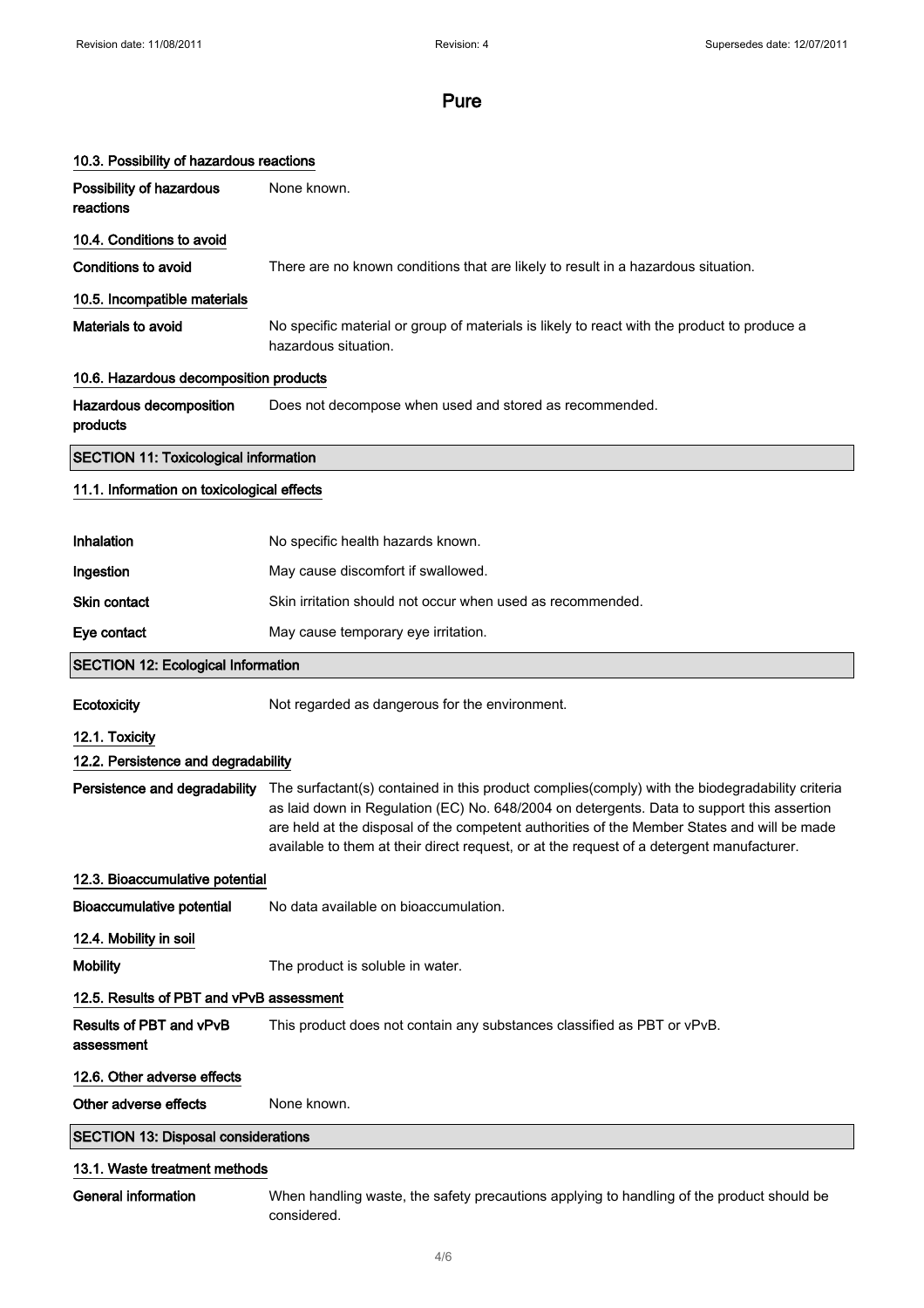|                                              | 10.3. Possibility of hazardous reactions                                                                                                                                                                                                                                                                                                                                                  |  |  |  |  |
|----------------------------------------------|-------------------------------------------------------------------------------------------------------------------------------------------------------------------------------------------------------------------------------------------------------------------------------------------------------------------------------------------------------------------------------------------|--|--|--|--|
| Possibility of hazardous<br>reactions        | None known.                                                                                                                                                                                                                                                                                                                                                                               |  |  |  |  |
| 10.4. Conditions to avoid                    |                                                                                                                                                                                                                                                                                                                                                                                           |  |  |  |  |
| <b>Conditions to avoid</b>                   | There are no known conditions that are likely to result in a hazardous situation.                                                                                                                                                                                                                                                                                                         |  |  |  |  |
| 10.5. Incompatible materials                 |                                                                                                                                                                                                                                                                                                                                                                                           |  |  |  |  |
| Materials to avoid                           | No specific material or group of materials is likely to react with the product to produce a<br>hazardous situation.                                                                                                                                                                                                                                                                       |  |  |  |  |
|                                              | 10.6. Hazardous decomposition products                                                                                                                                                                                                                                                                                                                                                    |  |  |  |  |
| Hazardous decomposition<br>products          | Does not decompose when used and stored as recommended.                                                                                                                                                                                                                                                                                                                                   |  |  |  |  |
| <b>SECTION 11: Toxicological information</b> |                                                                                                                                                                                                                                                                                                                                                                                           |  |  |  |  |
| 11.1. Information on toxicological effects   |                                                                                                                                                                                                                                                                                                                                                                                           |  |  |  |  |
|                                              |                                                                                                                                                                                                                                                                                                                                                                                           |  |  |  |  |
| Inhalation                                   | No specific health hazards known.                                                                                                                                                                                                                                                                                                                                                         |  |  |  |  |
| Ingestion                                    | May cause discomfort if swallowed.                                                                                                                                                                                                                                                                                                                                                        |  |  |  |  |
| Skin contact                                 | Skin irritation should not occur when used as recommended.                                                                                                                                                                                                                                                                                                                                |  |  |  |  |
| Eye contact                                  | May cause temporary eye irritation.                                                                                                                                                                                                                                                                                                                                                       |  |  |  |  |
| <b>SECTION 12: Ecological Information</b>    |                                                                                                                                                                                                                                                                                                                                                                                           |  |  |  |  |
| Ecotoxicity                                  | Not regarded as dangerous for the environment.                                                                                                                                                                                                                                                                                                                                            |  |  |  |  |
| 12.1. Toxicity                               |                                                                                                                                                                                                                                                                                                                                                                                           |  |  |  |  |
| 12.2. Persistence and degradability          |                                                                                                                                                                                                                                                                                                                                                                                           |  |  |  |  |
| Persistence and degradability                | The surfactant(s) contained in this product complies(comply) with the biodegradability criteria<br>as laid down in Regulation (EC) No. 648/2004 on detergents. Data to support this assertion<br>are held at the disposal of the competent authorities of the Member States and will be made<br>available to them at their direct request, or at the request of a detergent manufacturer. |  |  |  |  |
| 12.3. Bioaccumulative potential              |                                                                                                                                                                                                                                                                                                                                                                                           |  |  |  |  |
| <b>Bioaccumulative potential</b>             | No data available on bioaccumulation.                                                                                                                                                                                                                                                                                                                                                     |  |  |  |  |
| 12.4. Mobility in soil                       |                                                                                                                                                                                                                                                                                                                                                                                           |  |  |  |  |
| <b>Mobility</b>                              | The product is soluble in water.                                                                                                                                                                                                                                                                                                                                                          |  |  |  |  |
| 12.5. Results of PBT and vPvB assessment     |                                                                                                                                                                                                                                                                                                                                                                                           |  |  |  |  |
| Results of PBT and vPvB<br>assessment        | This product does not contain any substances classified as PBT or vPvB.                                                                                                                                                                                                                                                                                                                   |  |  |  |  |
| 12.6. Other adverse effects                  |                                                                                                                                                                                                                                                                                                                                                                                           |  |  |  |  |
| Other adverse effects                        | None known.                                                                                                                                                                                                                                                                                                                                                                               |  |  |  |  |
| <b>SECTION 13: Disposal considerations</b>   |                                                                                                                                                                                                                                                                                                                                                                                           |  |  |  |  |
| 13.1. Waste treatment methods                |                                                                                                                                                                                                                                                                                                                                                                                           |  |  |  |  |
|                                              |                                                                                                                                                                                                                                                                                                                                                                                           |  |  |  |  |

General information When handling waste, the safety precautions applying to handling of the product should be considered.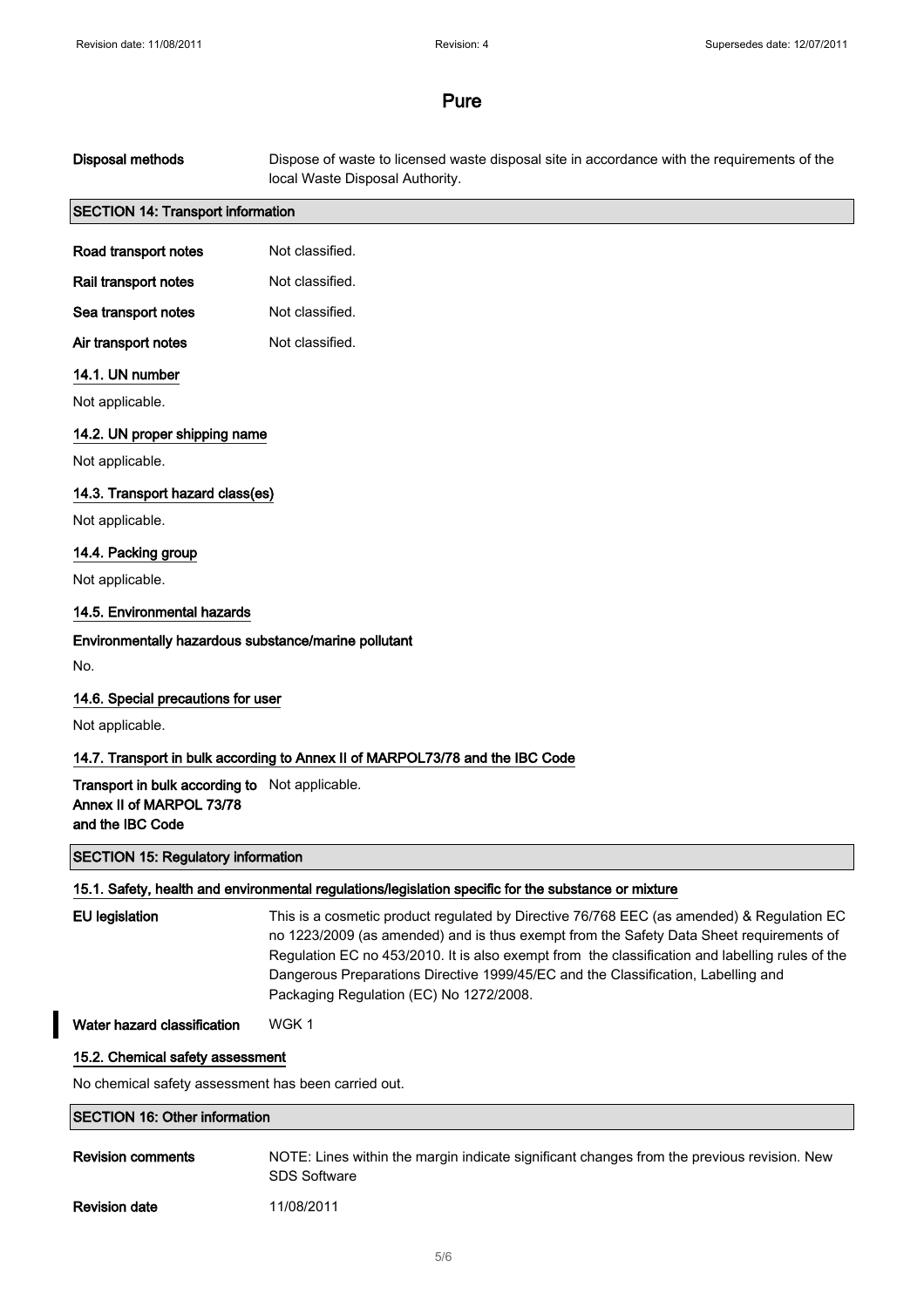# Disposal methods Dispose of waste to licensed waste disposal site in accordance with the requirements of the local Waste Disposal Authority. SECTION 14: Transport information Road transport notes Not classified. Rail transport notes Not classified. Sea transport notes Not classified. Air transport notes Not classified. 14.1. UN number Not applicable. 14.2. UN proper shipping name Not applicable. 14.3. Transport hazard class(es) Not applicable. 14.4. Packing group Not applicable. 14.5. Environmental hazards Environmentally hazardous substance/marine pollutant No. 14.6. Special precautions for user Not applicable. 14.7. Transport in bulk according to Annex II of MARPOL73/78 and the IBC Code Transport in bulk according to Not applicable. Annex II of MARPOL 73/78 and the IBC Code SECTION 15: Regulatory information 15.1. Safety, health and environmental regulations/legislation specific for the substance or mixture EU legislation This is a cosmetic product regulated by Directive 76/768 EEC (as amended) & Regulation EC no 1223/2009 (as amended) and is thus exempt from the Safety Data Sheet requirements of Regulation EC no 453/2010. It is also exempt from the classification and labelling rules of the Dangerous Preparations Directive 1999/45/EC and the Classification, Labelling and Packaging Regulation (EC) No 1272/2008. Water hazard classification WGK 1 15.2. Chemical safety assessment No chemical safety assessment has been carried out. SECTION 16: Other information

Revision comments NOTE: Lines within the margin indicate significant changes from the previous revision. New SDS Software

Revision date 11/08/2011